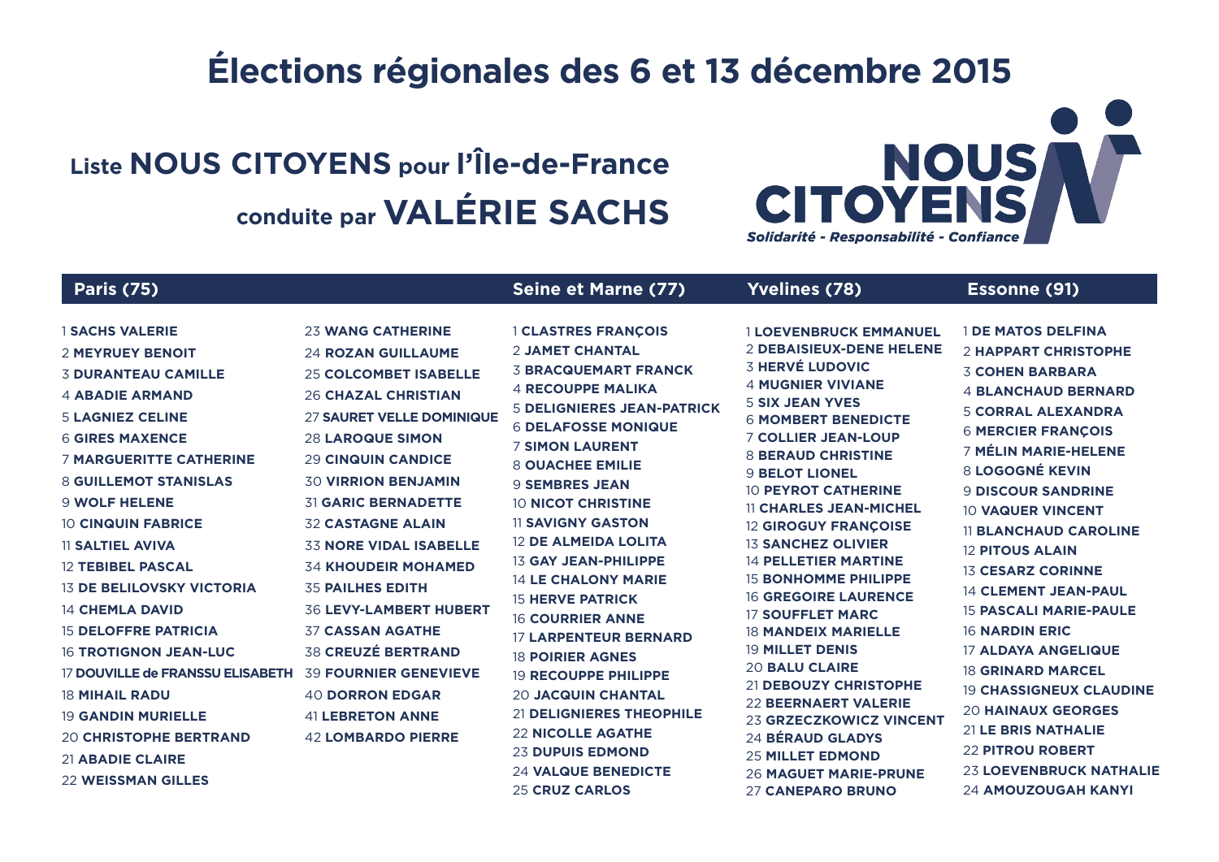#### Élections régionales des 6 et 13 décembre 2015

### Liste NOUS CITOYENS pour l'Île-de-France conduite par VALÉRIE SACHS

# **NOUS CIT** Solidarité - Responsabilité - Col

**23 LOEVENBRUCK NATHALIE** 

**24 AMOUZOUGAH KANYI** 

**26 MAGUET MARIE-PRUNE** 

**27 CANEPARO BRUNO** 

| <b>Paris (75)</b>                                                                                                                                                                                                                                                                                                                                                                                   |                                                                                                                                                                                                                                                                                                                                                                                                                             | <b>Seine et Marne (77)</b>                                                                                                                                                                                                                                                                                                                                                                                                                                                  | <b>Yvelines (78)</b>                                                                                                                                                                                                                                                                                                                                                                                                                                                                                                  | <b>Essonne (91)</b>                                                                                                                                                                                                                                                                                                                                                                                                                         |
|-----------------------------------------------------------------------------------------------------------------------------------------------------------------------------------------------------------------------------------------------------------------------------------------------------------------------------------------------------------------------------------------------------|-----------------------------------------------------------------------------------------------------------------------------------------------------------------------------------------------------------------------------------------------------------------------------------------------------------------------------------------------------------------------------------------------------------------------------|-----------------------------------------------------------------------------------------------------------------------------------------------------------------------------------------------------------------------------------------------------------------------------------------------------------------------------------------------------------------------------------------------------------------------------------------------------------------------------|-----------------------------------------------------------------------------------------------------------------------------------------------------------------------------------------------------------------------------------------------------------------------------------------------------------------------------------------------------------------------------------------------------------------------------------------------------------------------------------------------------------------------|---------------------------------------------------------------------------------------------------------------------------------------------------------------------------------------------------------------------------------------------------------------------------------------------------------------------------------------------------------------------------------------------------------------------------------------------|
| <b>1 SACHS VALERIE</b><br>2 MEYRUEY BENOIT<br><b>3 DURANTEAU CAMILLE</b><br><b>4 ABADIE ARMAND</b><br><b>5 LAGNIEZ CELINE</b><br><b>6 GIRES MAXENCE</b><br><b>7 MARGUERITTE CATHERINE</b><br><b>8 GUILLEMOT STANISLAS</b><br><b>9 WOLF HELENE</b><br><b>10 CINQUIN FABRICE</b><br><b>11 SALTIEL AVIVA</b><br><b>12 TEBIBEL PASCAL</b><br><b>13 DE BELILOVSKY VICTORIA</b><br><b>14 CHEMLA DAVID</b> | <b>23 WANG CATHERINE</b><br><b>24 ROZAN GUILLAUME</b><br><b>25 COLCOMBET ISABELLE</b><br><b>26 CHAZAL CHRISTIAN</b><br>27 SAURET VELLE DOMINIQUE<br><b>28 LAROQUE SIMON</b><br><b>29 CINQUIN CANDICE</b><br><b>30 VIRRION BENJAMIN</b><br><b>31 GARIC BERNADETTE</b><br><b>32 CASTAGNE ALAIN</b><br><b>33 NORE VIDAL ISABELLE</b><br><b>34 KHOUDEIR MOHAMED</b><br><b>35 PAILHES EDITH</b><br><b>36 LEVY-LAMBERT HUBERT</b> | <b>1 CLASTRES FRANCOIS</b><br><b>2 JAMET CHANTAL</b><br><b>3 BRACQUEMART FRANCK</b><br><b>4 RECOUPPE MALIKA</b><br><b>5 DELIGNIERES JEAN-PATRICK</b><br><b>6 DELAFOSSE MONIQUE</b><br><b>7 SIMON LAURENT</b><br><b>8 OUACHEE EMILIE</b><br><b>9 SEMBRES JEAN</b><br><b>10 NICOT CHRISTINE</b><br><b>11 SAVIGNY GASTON</b><br><b>12 DE ALMEIDA LOLITA</b><br><b>13 GAY JEAN-PHILIPPE</b><br><b>14 LE CHALONY MARIE</b><br><b>15 HERVE PATRICK</b><br><b>16 COURRIER ANNE</b> | <b>1 LOEVENBRUCK EMMANUEL</b><br><b>2 DEBAISIEUX-DENE HELENE</b><br><b>3 HERVÉ LUDOVIC</b><br><b>4 MUGNIER VIVIANE</b><br><b>5 SIX JEAN YVES</b><br><b>6 MOMBERT BENEDICTE</b><br><b>7 COLLIER JEAN-LOUP</b><br><b>8 BERAUD CHRISTINE</b><br><b>9 BELOT LIONEL</b><br><b>10 PEYROT CATHERINE</b><br><b>11 CHARLES JEAN-MICHEL</b><br><b>12 GIROGUY FRANCOISE</b><br><b>13 SANCHEZ OLIVIER</b><br><b>14 PELLETIER MARTINE</b><br><b>15 BONHOMME PHILIPPE</b><br><b>16 GREGOIRE LAURENCE</b><br><b>17 SOUFFLET MARC</b> | <b>I DE MATOS DELFINA</b><br><b>2 HAPPART CHRISTOPHE</b><br><b>3 COHEN BARBARA</b><br><b>4 BLANCHAUD BERNARD</b><br><b>5 CORRAL ALEXANDRA</b><br><b>6 MERCIER FRANÇOIS</b><br><b>7 MÉLIN MARIE-HELENE</b><br>8 LOGOGNÉ KEVIN<br><b>9 DISCOUR SANDRINE</b><br><b>10 VAQUER VINCENT</b><br><b>11 BLANCHAUD CAROLINE</b><br><b>12 PITOUS ALAIN</b><br><b>13 CESARZ CORINNE</b><br><b>14 CLEMENT JEAN-PAUL</b><br><b>15 PASCALI MARIE-PAULE</b> |
| <b>15 DELOFFRE PATRICIA</b>                                                                                                                                                                                                                                                                                                                                                                         | <b>37 CASSAN AGATHE</b>                                                                                                                                                                                                                                                                                                                                                                                                     | <b>17 LARPENTEUR BERNARD</b>                                                                                                                                                                                                                                                                                                                                                                                                                                                | <b>18 MANDEIX MARIELLE</b><br><b>19 MILLET DENIS</b>                                                                                                                                                                                                                                                                                                                                                                                                                                                                  | <b>16 NARDIN ERIC</b>                                                                                                                                                                                                                                                                                                                                                                                                                       |
| <b>16 TROTIGNON JEAN-LUC</b><br>17 DOUVILLE de FRANSSU ELISABETH<br><b>18 MIHAIL RADU</b><br><b>19 GANDIN MURIELLE</b><br>20 CHRISTOPHE BERTRAND<br>21 ARADIE CLAIDE                                                                                                                                                                                                                                | <b>38 CREUZÉ BERTRAND</b><br><b>39 FOURNIER GENEVIEVE</b><br><b>40 DORRON EDGAR</b><br><b>41 LEBRETON ANNE</b><br><b>42 LOMBARDO PIERRE</b>                                                                                                                                                                                                                                                                                 | <b>18 POIRIER AGNES</b><br><b>19 RECOUPPE PHILIPPE</b><br><b>20 JACQUIN CHANTAL</b><br><b>21 DELIGNIERES THEOPHILE</b><br><b>22 NICOLLE AGATHE</b><br><b>23 DUPUIS EDMOND</b>                                                                                                                                                                                                                                                                                               | <b>20 BALU CLAIRE</b><br>21 DEBOUZY CHRISTOPHE<br><b>22 BEERNAERT VALERIE</b><br>23 GRZECZKOWICZ VINCENT<br>24 BÉRAUD GLADYS<br><b>25 MILLET EDMOND</b>                                                                                                                                                                                                                                                                                                                                                               | <b>17 ALDAYA ANGELIQUE</b><br><b>18 GRINARD MARCEL</b><br><b>19 CHASSIGNEUX CLAUDINE</b><br><b>20 HAINAUX GEORGES</b><br>21 LE BRIS NATHALIE<br><b>22 PITROU ROBERT</b>                                                                                                                                                                                                                                                                     |

**24 VALQUE BENEDICTE** 

**25 CRUZ CARLOS** 

- 21 ABADIE CLAIRE
- **22 WEISSMAN GILLES**